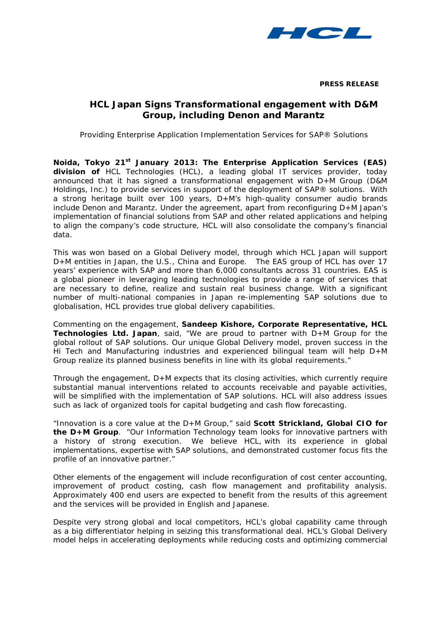

**PRESS RELEASE**

# **HCL Japan Signs Transformational engagement with D&M Group, including Denon and Marantz**

Providing Enterprise Application Implementation Services for SAP® Solutions

**Noida, Tokyo 21st January 2013: The Enterprise Application Services (EAS) division of** HCL Technologies (HCL), a leading global IT services provider, today announced that it has signed a transformational engagement with D+M Group (D&M Holdings, Inc.) to provide services in support of the deployment of SAP® solutions. With a strong heritage built over 100 years, D+M's high-quality consumer audio brands include Denon and Marantz. Under the agreement, apart from reconfiguring D+M Japan's implementation of financial solutions from SAP and other related applications and helping to align the company's code structure, HCL will also consolidate the company's financial data.

This was won based on a Global Delivery model, through which HCL Japan will support D+M entities in Japan, the U.S., China and Europe. The EAS group of HCL has over 17 years' experience with SAP and more than 6,000 consultants across 31 countries. EAS is a global pioneer in leveraging leading technologies to provide a range of services that are necessary to define, realize and sustain real business change. With a significant number of multi-national companies in Japan re-implementing SAP solutions due to globalisation, HCL provides true global delivery capabilities.

Commenting on the engagement, **Sandeep Kishore, Corporate Representative, HCL Technologies Ltd. Japan**, said, "We are proud to partner with D+M Group for the global rollout of SAP solutions. Our unique Global Delivery model, proven success in the Hi Tech and Manufacturing industries and experienced bilingual team will help D+M Group realize its planned business benefits in line with its global requirements."

Through the engagement, D+M expects that its closing activities, which currently require substantial manual interventions related to accounts receivable and payable activities, will be simplified with the implementation of SAP solutions. HCL will also address issues such as lack of organized tools for capital budgeting and cash flow forecasting.

"Innovation is a core value at the D+M Group," said **Scott Strickland, Global CIO for the D+M Group**. "Our Information Technology team looks for innovative partners with a history of strong execution. We believe HCL, with its experience in global implementations, expertise with SAP solutions, and demonstrated customer focus fits the profile of an innovative partner."

Other elements of the engagement will include reconfiguration of cost center accounting, improvement of product costing, cash flow management and profitability analysis. Approximately 400 end users are expected to benefit from the results of this agreement and the services will be provided in English and Japanese.

Despite very strong global and local competitors, HCL's global capability came through as a big differentiator helping in seizing this transformational deal. HCL's Global Delivery model helps in accelerating deployments while reducing costs and optimizing commercial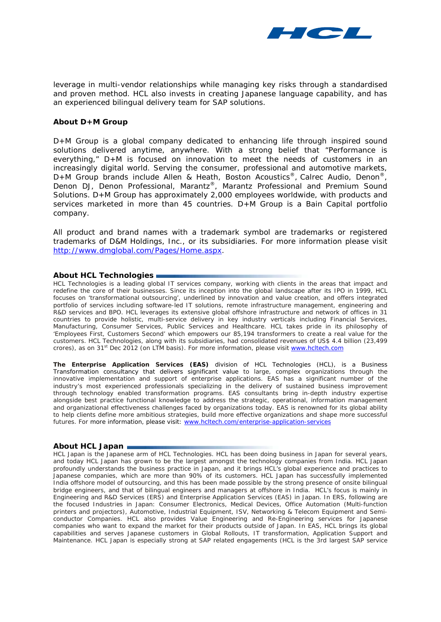

leverage in multi-vendor relationships while managing key risks through a standardised and proven method. HCL also invests in creating Japanese language capability, and has an experienced bilingual delivery team for SAP solutions.

## **About D+M Group**

D+M Group is a global company dedicated to enhancing life through inspired sound solutions delivered anytime, anywhere. With a strong belief that "Performance is everything," D+M is focused on innovation to meet the needs of customers in an increasingly digital world. Serving the consumer, professional and automotive markets, D+M Group brands include Allen & Heath, Boston Acoustics<sup>®</sup>, Calrec Audio, Denon<sup>®</sup>, Denon DJ, Denon Professional, Marantz®, Marantz Professional and Premium Sound Solutions. D+M Group has approximately 2,000 employees worldwide, with products and services marketed in more than 45 countries. D+M Group is a Bain Capital portfolio company.

All product and brand names with a trademark symbol are trademarks or registered trademarks of D&M Holdings, Inc., or its subsidiaries. For more information please visit [http://www.dmglobal.com/Pages/Home.aspx.](http://www.dmglobal.com/Pages/Home.aspx)

## **About HCL Technologies**

HCL Technologies is a leading global IT services company, working with clients in the areas that impact and redefine the core of their businesses. Since its inception into the global landscape after its IPO in 1999, HCL focuses on 'transformational outsourcing', underlined by innovation and value creation, and offers integrated portfolio of services including software-led IT solutions, remote infrastructure management, engineering and R&D services and BPO. HCL leverages its extensive global offshore infrastructure and network of offices in 31 countries to provide holistic, multi-service delivery in key industry verticals including Financial Services, Manufacturing, Consumer Services, Public Services and Healthcare. HCL takes pride in its philosophy of 'Employees First, Customers Second' which empowers our 85,194 transformers to create a real value for the customers. HCL Technologies, along with its subsidiaries, had consolidated revenues of US\$ 4.4 billion (23,499 crores), as on 31<sup>st</sup> Dec 2012 (on LTM basis). For more information, please visit [www.hcltech.com](http://www.hcltech.com/)

**The Enterprise Application Services (EAS)** division of HCL Technologies (HCL), is a Business Transformation consultancy that delivers significant value to large, complex organizations through the innovative implementation and support of enterprise applications. EAS has a significant number of the industry's most experienced professionals specializing in the delivery of sustained business improvement through technology enabled transformation programs. EAS consultants bring in-depth industry expertise alongside best practice functional knowledge to address the strategic, operational, information management and organizational effectiveness challenges faced by organizations today. EAS is renowned for its global ability to help clients define more ambitious strategies, build more effective organizations and shape more successful futures. For more information, please visit: www.hcltech.com/enterprise-application-services

### **About HCL Japan**

HCL Japan is the Japanese arm of HCL Technologies. HCL has been doing business in Japan for several years, and today HCL Japan has grown to be the largest amongst the technology companies from India. HCL Japan profoundly understands the business practice in Japan, and it brings HCL's global experience and practices to Japanese companies, which are more than 90% of its customers. HCL Japan has successfully implemented India offshore model of outsourcing, and this has been made possible by the strong presence of onsite bilingual bridge engineers, and that of bilingual engineers and managers at offshore in India. HCL's focus is mainly in Engineering and R&D Services (ERS) and Enterprise Application Services (EAS) in Japan. In ERS, following are the focused Industries in Japan: Consumer Electronics, Medical Devices, Office Automation (Multi-function printers and projectors), Automotive, Industrial Equipment, ISV, Networking & Telecom Equipment and Semiconductor Companies. HCL also provides Value Engineering and Re-Engineering services for Japanese companies who want to expand the market for their products outside of Japan. In EAS, HCL brings its global capabilities and serves Japanese customers in Global Rollouts, IT transformation, Application Support and Maintenance. HCL Japan is especially strong at SAP related engagements (HCL is the 3rd largest SAP service